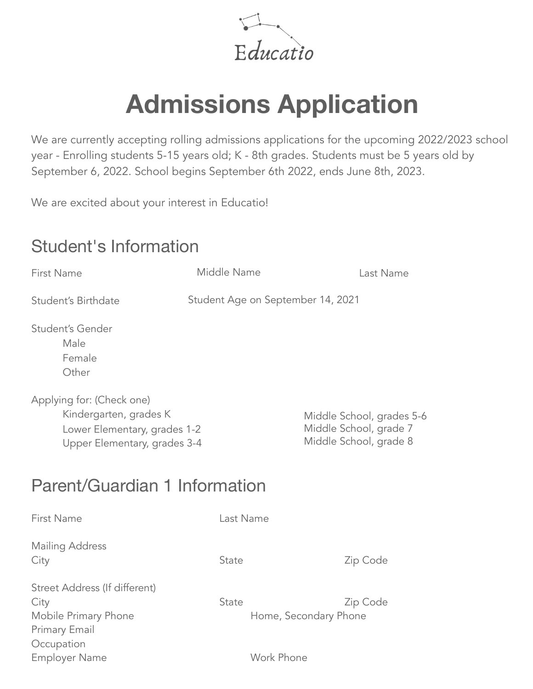Educatio

# **Admissions Application**

We are currently accepting rolling admissions applications for the upcoming 2022/2023 school year - Enrolling students 5-15 years old; K - 8th grades. Students must be 5 years old by September 6, 2022. School begins September 6th 2022, ends June 8th, 2023.

We are excited about your interest in Educatio!

## Student's Information

| First Name                                                                                                          | Middle Name                       | Last Name                                                                     |  |
|---------------------------------------------------------------------------------------------------------------------|-----------------------------------|-------------------------------------------------------------------------------|--|
| Student's Birthdate                                                                                                 | Student Age on September 14, 2021 |                                                                               |  |
| Student's Gender<br>Male<br>Female<br>Other                                                                         |                                   |                                                                               |  |
| Applying for: (Check one)<br>Kindergarten, grades K<br>Lower Elementary, grades 1-2<br>Upper Elementary, grades 3-4 |                                   | Middle School, grades 5-6<br>Middle School, grade 7<br>Middle School, grade 8 |  |
| Parent/Guardian 1 Information                                                                                       |                                   |                                                                               |  |
| First Name                                                                                                          | Last Name                         |                                                                               |  |
| Mailing Address<br>City                                                                                             | State                             | Zip Code                                                                      |  |
| Street Address (If different)<br>City<br>Mobile Primary Phone<br>Primary Email<br>Occupation                        | State                             | Zip Code<br>Home, Secondary Phone                                             |  |
| <b>Employer Name</b>                                                                                                |                                   | Work Phone                                                                    |  |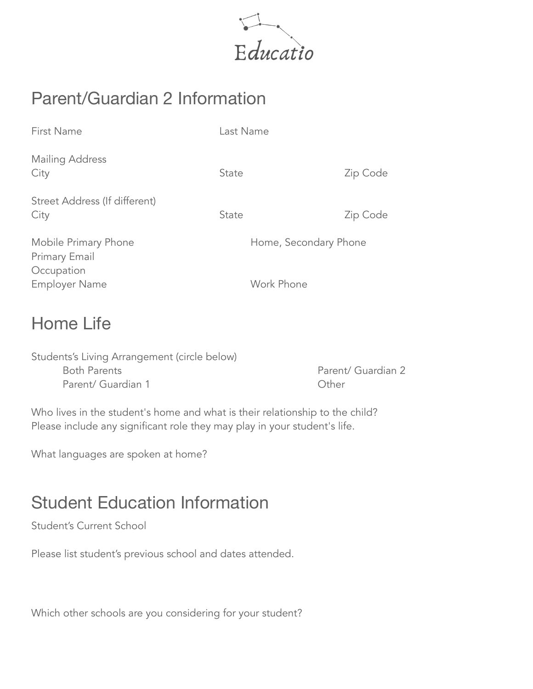

# Parent/Guardian 2 Information

| <b>First Name</b>                                   | Last Name             |          |
|-----------------------------------------------------|-----------------------|----------|
| Mailing Address<br>City                             | State                 | Zip Code |
| Street Address (If different)<br>City               | <b>State</b>          | Zip Code |
| Mobile Primary Phone<br>Primary Email<br>Occupation | Home, Secondary Phone |          |
| <b>Employer Name</b>                                | Work Phone            |          |

### Home Life

| Students's Living Arrangement (circle below) |                    |
|----------------------------------------------|--------------------|
| <b>Both Parents</b>                          | Parent/ Guardian 2 |
| Parent/ Guardian 1                           | Other              |

Who lives in the student's home and what is their relationship to the child? Please include any significant role they may play in your student's life.

What languages are spoken at home?

## Student Education Information

Student's Current School

Please list student's previous school and dates attended.

Which other schools are you considering for your student?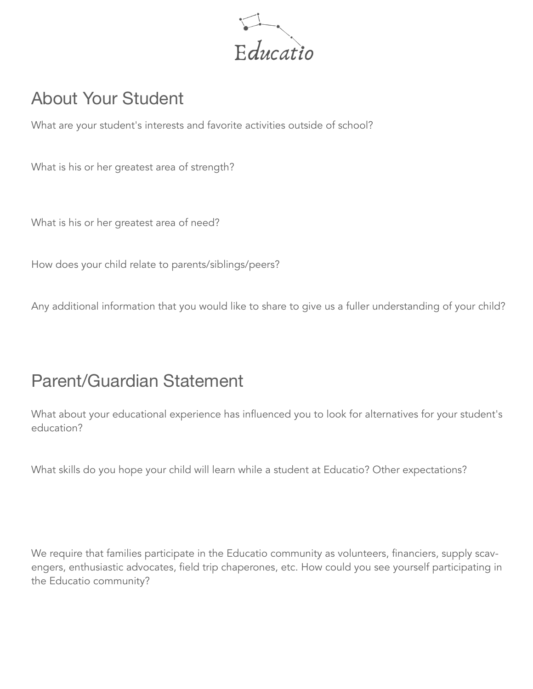

## About Your Student

What are your student's interests and favorite activities outside of school?

What is his or her greatest area of strength?

What is his or her greatest area of need?

How does your child relate to parents/siblings/peers?

Any additional information that you would like to share to give us a fuller understanding of your child?

#### Parent/Guardian Statement

What about your educational experience has influenced you to look for alternatives for your student's education?

What skills do you hope your child will learn while a student at Educatio? Other expectations?

We require that families participate in the Educatio community as volunteers, financiers, supply scavengers, enthusiastic advocates, field trip chaperones, etc. How could you see yourself participating in the Educatio community?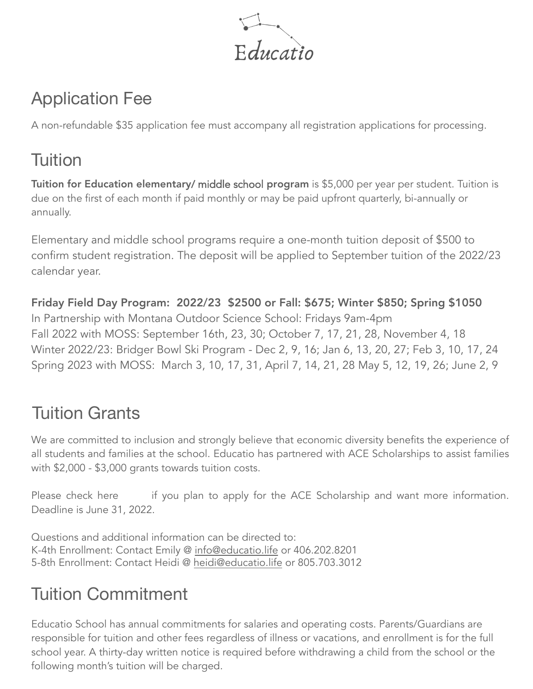

# Application Fee

A non-refundable \$35 application fee must accompany all registration applications for processing.

# **Tuition**

Tuition for Education elementary/ middle school program is \$5,000 per year per student. Tuition is due on the first of each month if paid monthly or may be paid upfront quarterly, bi-annually or annually.

Elementary and middle school programs require a one-month tuition deposit of \$500 to confirm student registration. The deposit will be applied to September tuition of the 2022/23 calendar year.

Friday Field Day Program: 2022/23 \$2500 or Fall: \$675; Winter \$850; Spring \$1050 In Partnership with Montana Outdoor Science School: Fridays 9am-4pm Fall 2022 with MOSS: September 16th, 23, 30; October 7, 17, 21, 28, November 4, 18 Winter 2022/23: Bridger Bowl Ski Program - Dec 2, 9, 16; Jan 6, 13, 20, 27; Feb 3, 10, 17, 24 Spring 2023 with MOSS: March 3, 10, 17, 31, April 7, 14, 21, 28 May 5, 12, 19, 26; June 2, 9

# Tuition Grants

We are committed to inclusion and strongly believe that economic diversity benefits the experience of all students and families at the school. Educatio has partnered with ACE Scholarships to assist families with \$2,000 - \$3,000 grants towards tuition costs.

Please check here if you plan to apply for the ACE Scholarship and want more information. Deadline is June 31, 2022.

Questions and additional information can be directed to: K-[4th Enrollment: Contact Emily @](mailto:info@educatio.life) info@educatio.life or 406.202.8201 5-8th Enrollment: Contact Heidi @ heidi@educatio.life or 805.703.3012

# Tuition Commitment

Educatio School has annual commitments for salaries and operating costs. Parents/Guardians are responsible for tuition and other fees regardless of illness or vacations, and enrollment is for the full school year. A thirty-day written notice is required before withdrawing a child from the school or the following month's tuition will be charged.